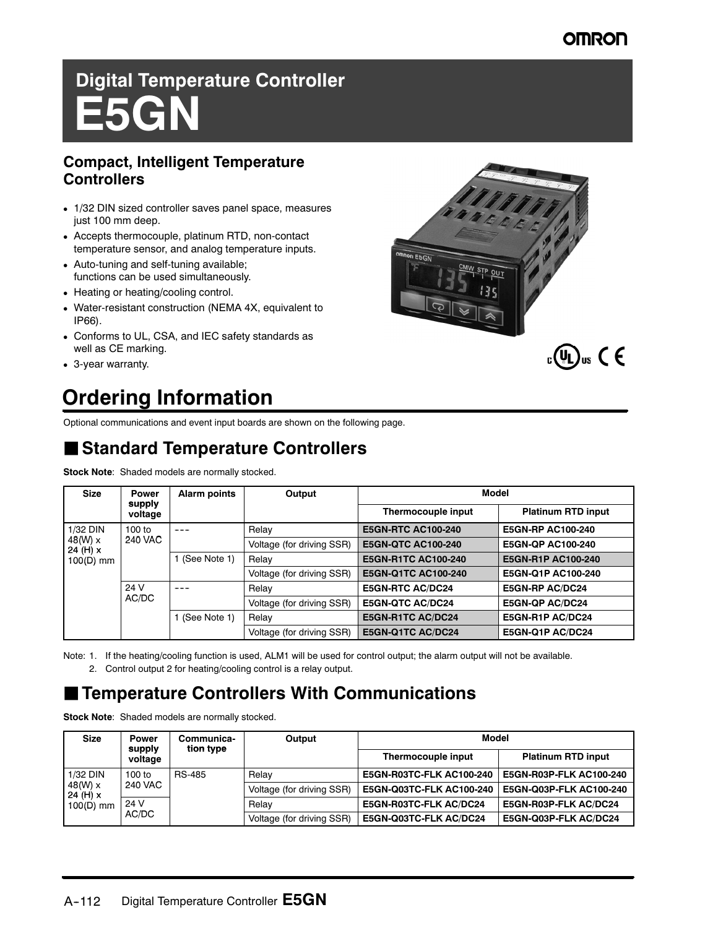### **OMROF**

# Digital Temperature Controller E5GN

### Compact, Intelligent Temperature Controllers

- 1/32 DIN sized controller saves panel space, measures just 100 mm deep.
- Accepts thermocouple, platinum RTD, non-contact temperature sensor, and analog temperature inputs.
- Auto-tuning and self-tuning available; functions can be used simultaneously.
- Heating or heating/cooling control.
- Water-resistant construction (NEMA 4X, equivalent to IP66).
- Conforms to UL, CSA, and IEC safety standards as well as CE marking.
- 3-year warranty.

## Ordering Information

Optional communications and event input boards are shown on the following page.

### ■ Standard Temperature Controllers

Stock Note: Shaded models are normally stocked.

| <b>Size</b>                        | <b>Power</b><br>supply | Alarm points              | Output                    | <b>Model</b>              |                          |  |  |  |
|------------------------------------|------------------------|---------------------------|---------------------------|---------------------------|--------------------------|--|--|--|
|                                    | voltage                |                           | Thermocouple input        | <b>Platinum RTD input</b> |                          |  |  |  |
| 1/32 DIN                           | $100$ to               |                           | Relay                     | <b>E5GN-RTC AC100-240</b> | <b>E5GN-RP AC100-240</b> |  |  |  |
| 48(W) x<br>24 (H) x<br>$100(D)$ mm | 240 VAC                |                           | Voltage (for driving SSR) | <b>E5GN-QTC AC100-240</b> | E5GN-QP AC100-240        |  |  |  |
|                                    |                        | (See Note 1)              | Relay                     | E5GN-R1TC AC100-240       | E5GN-R1P AC100-240       |  |  |  |
|                                    |                        |                           | Voltage (for driving SSR) | E5GN-Q1TC AC100-240       | E5GN-Q1P AC100-240       |  |  |  |
|                                    | 24 V                   | $- - -$<br>1 (See Note 1) | Relay                     | <b>E5GN-RTC AC/DC24</b>   | E5GN-RP AC/DC24          |  |  |  |
|                                    | AC/DC                  |                           | Voltage (for driving SSR) | E5GN-QTC AC/DC24          | E5GN-QP AC/DC24          |  |  |  |
|                                    |                        |                           | Relay                     | E5GN-R1TC AC/DC24         | E5GN-R1P AC/DC24         |  |  |  |
|                                    |                        |                           | Voltage (for driving SSR) | E5GN-Q1TC AC/DC24         | E5GN-Q1P AC/DC24         |  |  |  |

Note: 1. If the heating/cooling function is used, ALM1 will be used for control output; the alarm output will not be available.

2. Control output 2 for heating/cooling control is a relay output.

### ■ Temperature Controllers With Communications

Stock Note: Shaded models are normally stocked.

| <b>Size</b>                                   | <b>Power</b><br>supply | Communica-<br>tion type | Output                    | Model                           |                           |  |  |  |
|-----------------------------------------------|------------------------|-------------------------|---------------------------|---------------------------------|---------------------------|--|--|--|
|                                               | voltage                |                         |                           | Thermocouple input              | <b>Platinum RTD input</b> |  |  |  |
| 1/32 DIN<br>48(W) x<br>24(H) x<br>$100(D)$ mm | 100 to                 | <b>RS-485</b>           | Relav                     | <b>E5GN-R03TC-FLK AC100-240</b> | E5GN-R03P-FLK AC100-240   |  |  |  |
|                                               | 240 VAC                |                         | Voltage (for driving SSR) | E5GN-Q03TC-FLK AC100-240        | E5GN-Q03P-FLK AC100-240   |  |  |  |
|                                               | 24 V                   |                         | Relav                     | E5GN-R03TC-FLK AC/DC24          | E5GN-R03P-FLK AC/DC24     |  |  |  |
|                                               | AC/DC                  |                         | Voltage (for driving SSR) | E5GN-Q03TC-FLK AC/DC24          | E5GN-Q03P-FLK AC/DC24     |  |  |  |

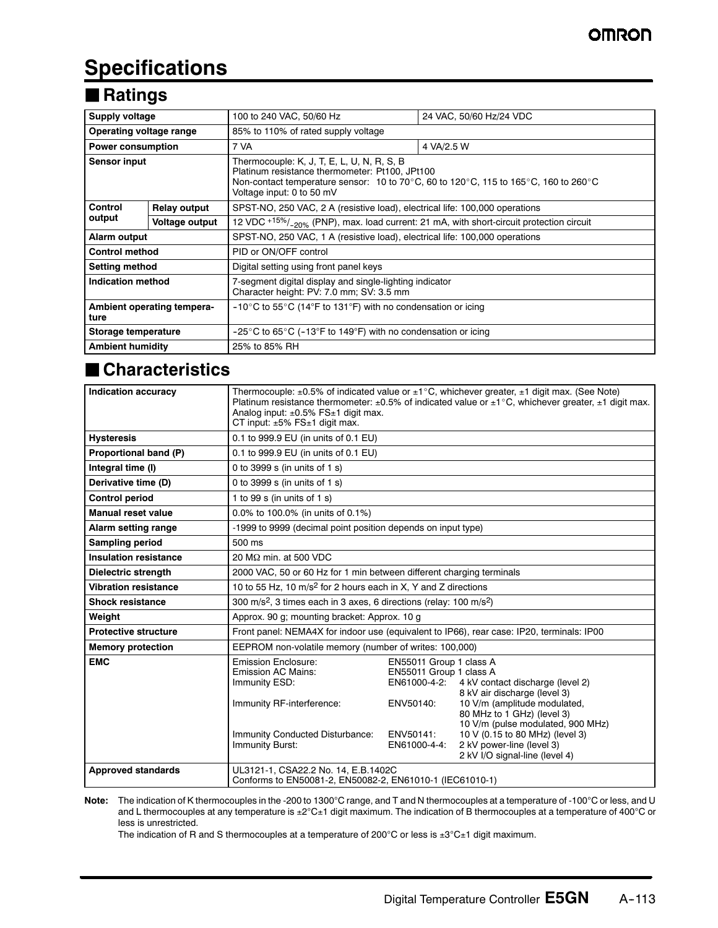## **Specifications**

### **Ratings**

| <b>Supply voltage</b>              |                       | 100 to 240 VAC, 50/60 Hz<br>24 VAC, 50/60 Hz/24 VDC                                                                                                                                                                                                          |            |  |  |  |  |
|------------------------------------|-----------------------|--------------------------------------------------------------------------------------------------------------------------------------------------------------------------------------------------------------------------------------------------------------|------------|--|--|--|--|
| Operating voltage range            |                       | 85% to 110% of rated supply voltage                                                                                                                                                                                                                          |            |  |  |  |  |
| <b>Power consumption</b>           |                       | 7 VA                                                                                                                                                                                                                                                         | 4 VA/2.5 W |  |  |  |  |
| Sensor input                       |                       | Thermocouple: K, J, T, E, L, U, N, R, S, B<br>Platinum resistance thermometer: Pt100, JPt100<br>Non-contact temperature sensor: 10 to 70 $^{\circ}$ C, 60 to 120 $^{\circ}$ C, 115 to 165 $^{\circ}$ C, 160 to 260 $^{\circ}$ C<br>Voltage input: 0 to 50 mV |            |  |  |  |  |
| Control                            | <b>Relay output</b>   | SPST-NO, 250 VAC, 2 A (resistive load), electrical life: 100,000 operations                                                                                                                                                                                  |            |  |  |  |  |
| output                             | <b>Voltage output</b> | 12 VDC $+15\%/20\%$ (PNP), max. load current: 21 mA, with short-circuit protection circuit                                                                                                                                                                   |            |  |  |  |  |
| Alarm output                       |                       | SPST-NO, 250 VAC, 1 A (resistive load), electrical life: 100,000 operations                                                                                                                                                                                  |            |  |  |  |  |
| <b>Control method</b>              |                       | PID or ON/OFF control                                                                                                                                                                                                                                        |            |  |  |  |  |
| <b>Setting method</b>              |                       | Digital setting using front panel keys                                                                                                                                                                                                                       |            |  |  |  |  |
| Indication method                  |                       | 7-segment digital display and single-lighting indicator<br>Character height: PV: 7.0 mm; SV: 3.5 mm                                                                                                                                                          |            |  |  |  |  |
| Ambient operating tempera-<br>ture |                       | $-10^{\circ}$ C to 55 $^{\circ}$ C (14 $^{\circ}$ F to 131 $^{\circ}$ F) with no condensation or icing                                                                                                                                                       |            |  |  |  |  |
| Storage temperature                |                       | $-25^{\circ}$ C to 65 $^{\circ}$ C (-13 $^{\circ}$ F to 149 $^{\circ}$ F) with no condensation or icing                                                                                                                                                      |            |  |  |  |  |
| <b>Ambient humidity</b>            |                       | 25% to 85% RH                                                                                                                                                                                                                                                |            |  |  |  |  |

### ■ Characteristics

| <b>Indication accuracy</b>   | Thermocouple: $\pm 0.5\%$ of indicated value or $\pm 1^{\circ}$ C, whichever greater, $\pm 1$ digit max. (See Note)<br>Platinum resistance thermometer: $\pm 0.5\%$ of indicated value or $\pm 1\degree C$ , whichever greater, $\pm 1\degree$ digit max.<br>Analog input: $\pm 0.5\%$ FS $\pm 1$ digit max.<br>CT input: ±5% FS±1 digit max. |                                                                                                              |                                                                                                                                                                                                                                                                       |  |  |  |  |
|------------------------------|-----------------------------------------------------------------------------------------------------------------------------------------------------------------------------------------------------------------------------------------------------------------------------------------------------------------------------------------------|--------------------------------------------------------------------------------------------------------------|-----------------------------------------------------------------------------------------------------------------------------------------------------------------------------------------------------------------------------------------------------------------------|--|--|--|--|
| <b>Hysteresis</b>            | 0.1 to 999.9 EU (in units of 0.1 EU)                                                                                                                                                                                                                                                                                                          |                                                                                                              |                                                                                                                                                                                                                                                                       |  |  |  |  |
| Proportional band (P)        | 0.1 to 999.9 EU (in units of 0.1 EU)                                                                                                                                                                                                                                                                                                          |                                                                                                              |                                                                                                                                                                                                                                                                       |  |  |  |  |
| Integral time (I)            | 0 to 3999 s (in units of 1 s)                                                                                                                                                                                                                                                                                                                 |                                                                                                              |                                                                                                                                                                                                                                                                       |  |  |  |  |
| Derivative time (D)          | 0 to 3999 s (in units of 1 s)                                                                                                                                                                                                                                                                                                                 |                                                                                                              |                                                                                                                                                                                                                                                                       |  |  |  |  |
| <b>Control period</b>        | 1 to 99 s (in units of 1 s)                                                                                                                                                                                                                                                                                                                   |                                                                                                              |                                                                                                                                                                                                                                                                       |  |  |  |  |
| <b>Manual reset value</b>    | 0.0% to 100.0% (in units of 0.1%)                                                                                                                                                                                                                                                                                                             |                                                                                                              |                                                                                                                                                                                                                                                                       |  |  |  |  |
| Alarm setting range          | -1999 to 9999 (decimal point position depends on input type)                                                                                                                                                                                                                                                                                  |                                                                                                              |                                                                                                                                                                                                                                                                       |  |  |  |  |
| Sampling period              | 500 ms                                                                                                                                                                                                                                                                                                                                        |                                                                                                              |                                                                                                                                                                                                                                                                       |  |  |  |  |
| <b>Insulation resistance</b> | 20 M $\Omega$ min. at 500 VDC                                                                                                                                                                                                                                                                                                                 |                                                                                                              |                                                                                                                                                                                                                                                                       |  |  |  |  |
| <b>Dielectric strength</b>   | 2000 VAC, 50 or 60 Hz for 1 min between different charging terminals                                                                                                                                                                                                                                                                          |                                                                                                              |                                                                                                                                                                                                                                                                       |  |  |  |  |
| <b>Vibration resistance</b>  | 10 to 55 Hz, 10 m/s <sup>2</sup> for 2 hours each in X, Y and Z directions                                                                                                                                                                                                                                                                    |                                                                                                              |                                                                                                                                                                                                                                                                       |  |  |  |  |
| <b>Shock resistance</b>      | 300 m/s <sup>2</sup> , 3 times each in 3 axes, 6 directions (relay: 100 m/s <sup>2</sup> )                                                                                                                                                                                                                                                    |                                                                                                              |                                                                                                                                                                                                                                                                       |  |  |  |  |
| Weight                       | Approx. 90 g; mounting bracket: Approx. 10 g                                                                                                                                                                                                                                                                                                  |                                                                                                              |                                                                                                                                                                                                                                                                       |  |  |  |  |
| <b>Protective structure</b>  | Front panel: NEMA4X for indoor use (equivalent to IP66), rear case: IP20, terminals: IP00                                                                                                                                                                                                                                                     |                                                                                                              |                                                                                                                                                                                                                                                                       |  |  |  |  |
| <b>Memory protection</b>     | EEPROM non-volatile memory (number of writes: 100,000)                                                                                                                                                                                                                                                                                        |                                                                                                              |                                                                                                                                                                                                                                                                       |  |  |  |  |
| <b>EMC</b>                   | <b>Emission Enclosure:</b><br><b>Emission AC Mains:</b><br>Immunity ESD:<br>Immunity RF-interference:<br>Immunity Conducted Disturbance:<br>Immunity Burst:                                                                                                                                                                                   | EN55011 Group 1 class A<br>EN55011 Group 1 class A<br>EN61000-4-2:<br>ENV50140:<br>ENV50141:<br>EN61000-4-4: | 4 kV contact discharge (level 2)<br>8 kV air discharge (level 3)<br>10 V/m (amplitude modulated,<br>80 MHz to 1 GHz) (level 3)<br>10 V/m (pulse modulated, 900 MHz)<br>10 V (0.15 to 80 MHz) (level 3)<br>2 kV power-line (level 3)<br>2 kV I/O signal-line (level 4) |  |  |  |  |
| <b>Approved standards</b>    | UL3121-1, CSA22.2 No. 14, E.B.1402C<br>Conforms to EN50081-2, EN50082-2, EN61010-1 (IEC61010-1)                                                                                                                                                                                                                                               |                                                                                                              |                                                                                                                                                                                                                                                                       |  |  |  |  |

Note: The indication of K thermocouples in the -200 to 1300°C range, and T and N thermocouples at a temperature of -100°C or less, and U and L thermocouples at any temperature is ±2°C±1 digit maximum. The indication of B thermocouples at a temperature of 400°C or less is unrestricted.

The indication of R and S thermocouples at a temperature of 200°C or less is ±3°C±1 digit maximum.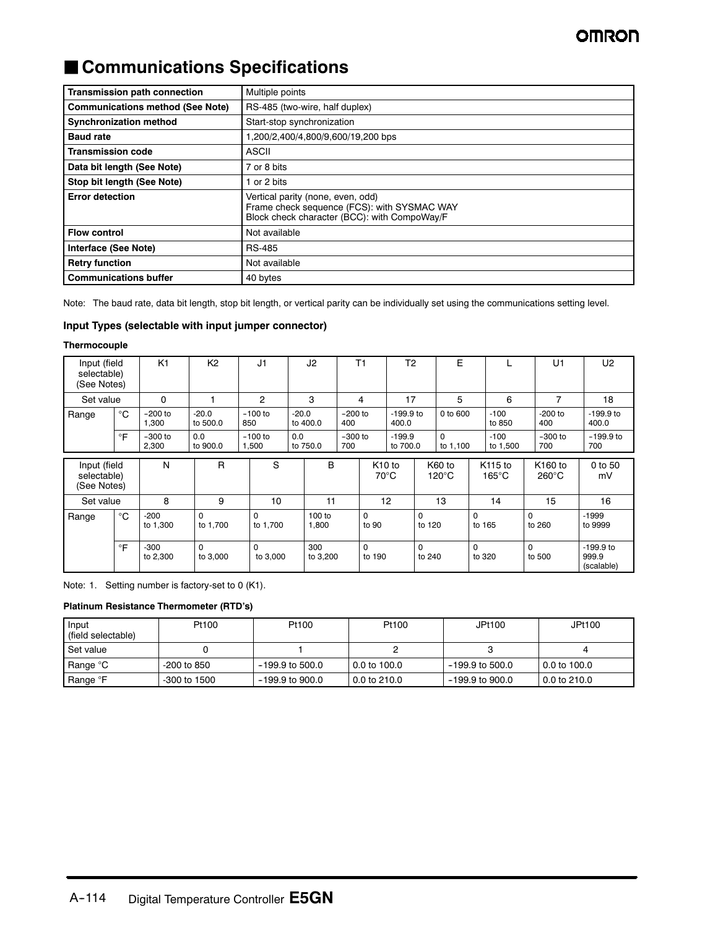### ■ Communications Specifications

| Transmission path connection            | Multiple points                                                                                                                  |
|-----------------------------------------|----------------------------------------------------------------------------------------------------------------------------------|
| <b>Communications method (See Note)</b> | RS-485 (two-wire, half duplex)                                                                                                   |
| <b>Synchronization method</b>           | Start-stop synchronization                                                                                                       |
| <b>Baud rate</b>                        | ad 00/2,400/4,800/9,600/19,200 ps.                                                                                               |
| <b>Transmission code</b>                | ASCII                                                                                                                            |
| Data bit length (See Note)              | 7 or 8 bits                                                                                                                      |
| Stop bit length (See Note)              | or 2 bits                                                                                                                        |
| <b>Error detection</b>                  | Vertical parity (none, even, odd)<br>Frame check sequence (FCS): with SYSMAC WAY<br>Block check character (BCC): with CompoWay/F |
| <b>Flow control</b>                     | Not available                                                                                                                    |
| Interface (See Note)                    | <b>RS-485</b>                                                                                                                    |
| <b>Retry function</b>                   | Not available                                                                                                                    |
| <b>Communications buffer</b>            | 40 bytes                                                                                                                         |

Note: The baud rate, data bit length, stop bit length, or vertical parity can be individually set using the communications setting level.

#### Input Types (selectable with input jumper connector)

#### Thermocouple

| Input (field<br>selectable)<br>(See Notes) |              | K <sub>1</sub>     | K <sub>2</sub>       | J1                 |                                    | J <sub>2</sub> |                  | T1                 |                                      | E<br>T <sub>2</sub> |                           |                    |                            |             | U1                         | U <sub>2</sub>                     |  |                    |  |             |  |                    |
|--------------------------------------------|--------------|--------------------|----------------------|--------------------|------------------------------------|----------------|------------------|--------------------|--------------------------------------|---------------------|---------------------------|--------------------|----------------------------|-------------|----------------------------|------------------------------------|--|--------------------|--|-------------|--|--------------------|
| Set value                                  |              | 0                  |                      | $\overline{2}$     |                                    | 3              |                  | 4                  |                                      | 17<br>5             |                           |                    | 6                          |             | 7                          | 18                                 |  |                    |  |             |  |                    |
| Range                                      | °C           | $-200$ to<br>1,300 | $-20.0$<br>to 500.0  | $-100$ to<br>850   | $-20.0$                            | to 400.0       | $-200$ to<br>400 |                    | $-199.9$ to<br>400.0                 |                     | 0 to 600                  |                    | $-100$<br>to 850           |             | $-200$ to<br>400           | $-199.9$ to<br>400.0               |  |                    |  |             |  |                    |
|                                            | $\circ$ F    | $-300$ to<br>2,300 | 0.0<br>to 900.0      | $-100$ to<br>1,500 | 0.0                                | to 750.0       | $-300$ to<br>700 |                    | $-199.9$<br>to 700.0                 |                     | 0<br>to 1,100             |                    | $-100$<br>to 1,500         |             | $-300$ to<br>700           | $-199.9$ to<br>700                 |  |                    |  |             |  |                    |
|                                            |              |                    |                      |                    |                                    |                |                  |                    |                                      |                     |                           |                    |                            |             |                            |                                    |  |                    |  |             |  |                    |
| Input (field<br>selectable)<br>(See Notes) |              | N                  | R                    | S                  |                                    |                | B                |                    | K <sub>10</sub> to<br>$70^{\circ}$ C |                     | K60 to<br>$120^{\circ}$ C |                    | K115 to<br>$165^{\circ}$ C |             | K160 to<br>$260^{\circ}$ C | 0 to 50<br>mV                      |  |                    |  |             |  |                    |
| Set value                                  |              | 8                  | 9                    | 10                 |                                    |                |                  |                    | 12                                   |                     | 13                        |                    | 14                         |             | 15                         | 16                                 |  |                    |  |             |  |                    |
| Range                                      | $^{\circ}$ C | $-200$<br>to 1,300 | $\Omega$<br>to 1,700 | 0<br>to 1,700      | 100 to<br>1,800<br>300<br>to 3,200 |                |                  |                    |                                      |                     |                           |                    | $\Omega$<br>to 90          |             |                            | $\Omega$<br>to 120                 |  | $\Omega$<br>to 165 |  | 0<br>to 260 |  | $-1999$<br>to 9999 |
|                                            | $\circ$ F    | $-300$<br>to 2,300 | $\Omega$<br>to 3,000 | 0<br>to 3,000      |                                    |                |                  | $\Omega$<br>to 190 |                                      | $\Omega$<br>to 240  |                           | $\Omega$<br>to 320 |                            | 0<br>to 500 |                            | $-199.9$ to<br>999.9<br>(scalable) |  |                    |  |             |  |                    |

Note: 1. Setting number is factory-set to 0 (K1).

#### Platinum Resistance Thermometer (RTD's)

| Input<br>(field selectable) | Pt100         | Pt100             | Pt100          | JPt100            | JPt100         |
|-----------------------------|---------------|-------------------|----------------|-------------------|----------------|
| Set value                   |               |                   |                |                   |                |
| Range °C                    | $-200$ to 850 | $-199.9$ to 500.0 | $0.0$ to 100.0 | $-199.9$ to 500.0 | $0.0$ to 100.0 |
| Range °F                    | -300 to 1500  | $-199.9$ to 900.0 | $0.0$ to 210.0 | $-199.9$ to 900.0 | $0.0$ to 210.0 |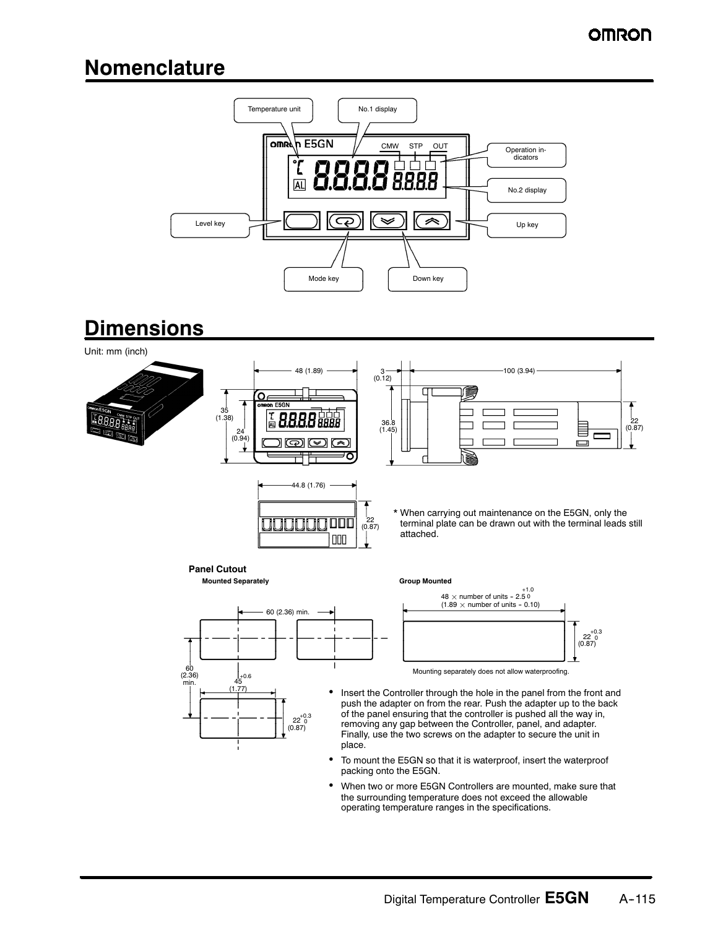## Nomenclature



## **Dimensions**



- To mount the E5GN so that it is waterproof, insert the waterproof packing onto the E5GN.
- When two or more E5GN Controllers are mounted, make sure that the surrounding temperature does not exceed the allowable operating temperature ranges in the specifications.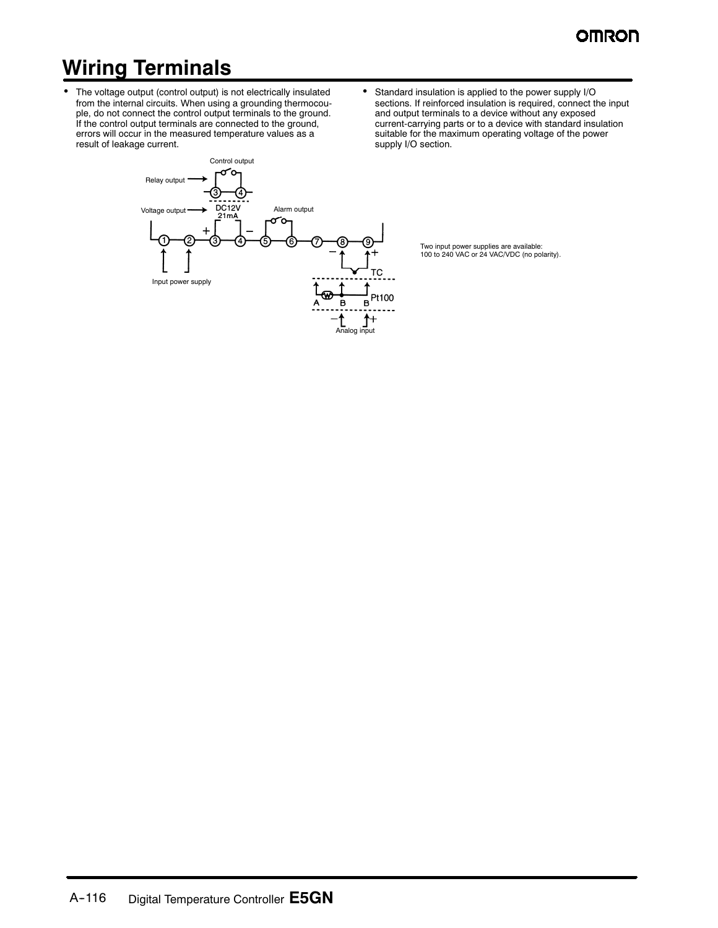### OMRC

## Wiring Terminals

The voltage output (control output) is not electrically insulated from the internal circuits. When using a grounding thermocouple, do not connect the control output terminals to the ground. If the control output terminals are connected to the ground, errors will occur in the measured temperature values as a result of leakage current.



• Standard insulation is applied to the power supply I/O sections. If reinforced insulation is required, connect the input and output terminals to a device without any exposed current-carrying parts or to a device with standard insulation suitable for the maximum operating voltage of the power supply I/O section.

Two input power supplies are available: 100 to 240 VAC or 24 VAC/VDC (no polarity).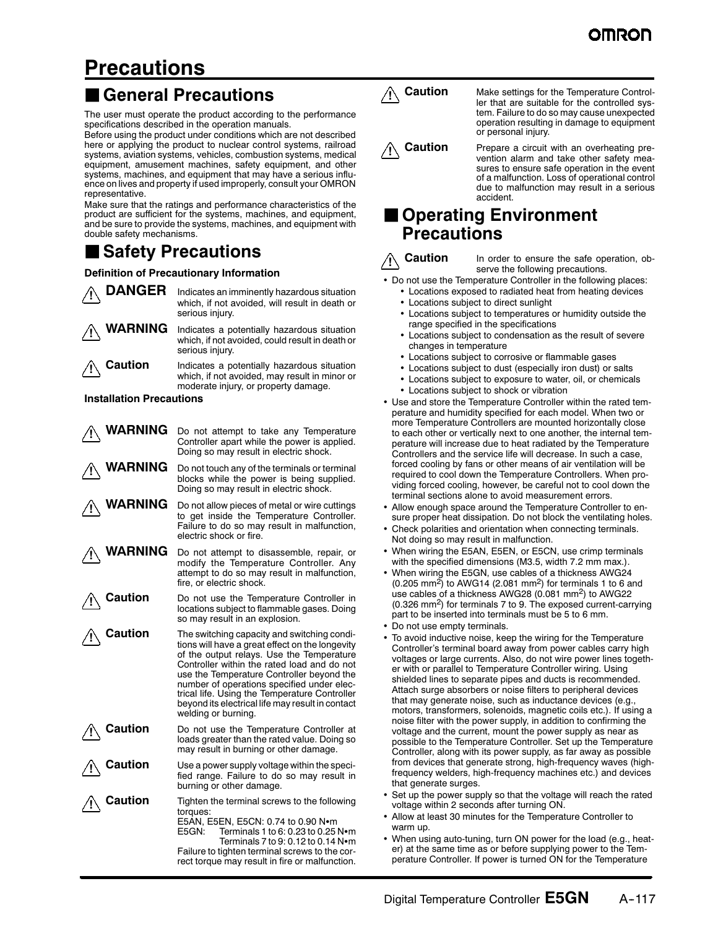## **Precautions**

### ■ General Precautions

The user must operate the product according to the performance specifications described in the operation manuals.

Before using the product under conditions which are not described here or applying the product to nuclear control systems, railroad systems, aviation systems, vehicles, combustion systems, medical equipment, amusement machines, safety equipment, and other systems, machines, and equipment that may have a serious influence on lives and property if used improperly, consult your OMRON representative.

Make sure that the ratings and performance characteristics of the product are sufficient for the systems, machines, and equipment, and be sure to provide the systems, machines, and equipment with double safety mechanisms.

### ■ Safety Precautions

#### Definition of Precautionary Information

DANGER Indicates an imminently hazardous situation which, if not avoided, will result in death or serious injury.

!

 $/$ 

**WARNING** Indicates a potentially hazardous situation which, if not avoided, could result in death or serious injury.

!

**Caution** Indicates a potentially hazardous situation which, if not avoided, may result in minor or moderate injury, or property damage.

#### Installation Precautions

| WARNING | Do not attempt to take any Temperature<br>Controller apart while the power is applied.<br>Doing so may result in electric shock.                                                                                                                                                                                                                                                                                  |
|---------|-------------------------------------------------------------------------------------------------------------------------------------------------------------------------------------------------------------------------------------------------------------------------------------------------------------------------------------------------------------------------------------------------------------------|
| WARNING | Do not touch any of the terminals or terminal<br>blocks while the power is being supplied.<br>Doing so may result in electric shock.                                                                                                                                                                                                                                                                              |
| WARNING | Do not allow pieces of metal or wire cuttings<br>to get inside the Temperature Controller.<br>Failure to do so may result in malfunction,<br>electric shock or fire.                                                                                                                                                                                                                                              |
| VARNING | Do not attempt to disassemble, repair, or<br>modify the Temperature Controller. Any<br>attempt to do so may result in malfunction,<br>fire, or electric shock.                                                                                                                                                                                                                                                    |
| Caution | Do not use the Temperature Controller in<br>locations subject to flammable gases. Doing<br>so may result in an explosion.                                                                                                                                                                                                                                                                                         |
| Caution | The switching capacity and switching condi-<br>tions will have a great effect on the longevity<br>of the output relays. Use the Temperature<br>Controller within the rated load and do not<br>use the Temperature Controller beyond the<br>number of operations specified under elec-<br>trical life. Using the Temperature Controller<br>beyond its electrical life may result in contact<br>welding or burning. |
| Caution | Do not use the Temperature Controller at<br>loads greater than the rated value. Doing so<br>may result in burning or other damage.                                                                                                                                                                                                                                                                                |
| Caution | Use a power supply voltage within the speci-<br>fied range. Failure to do so may result in<br>burning or other damage.                                                                                                                                                                                                                                                                                            |
| Caution | Tighten the terminal screws to the following<br>torques:<br>E5AN, E5EN, E5CN: 0.74 to 0.90 N.m<br>E5GN:<br>Terminals 1 to 6: 0.23 to 0.25 N.m<br>Terminals 7 to 9: 0.12 to 0.14 N.m<br>Failure to tighten terminal screws to the cor-<br>rect torque may result in fire or malfunction.                                                                                                                           |



!

**Caution** Make settings for the Temperature Controller that are suitable for the controlled system. Failure to do so may cause unexpected operation resulting in damage to equipment or personal injury.

**Caution** Prepare a circuit with an overheating prevention alarm and take other safety measures to ensure safe operation in the event of a malfunction. Loss of operational control due to malfunction may result in a serious accident.

#### **Operating Environment Precautions**

!

**Caution** In order to ensure the safe operation, observe the following precautions.

• Do not use the Temperature Controller in the following places:

- Locations exposed to radiated heat from heating devices
- Locations subject to direct sunlight
- Locations subject to temperatures or humidity outside the range specified in the specifications
- Locations subject to condensation as the result of severe changes in temperature
- Locations subject to corrosive or flammable gases
- Locations subject to dust (especially iron dust) or salts
- Locations subject to exposure to water, oil, or chemicals
- Locations subject to shock or vibration
- Use and store the Temperature Controller within the rated temperature and humidity specified for each model. When two or more Temperature Controllers are mounted horizontally close to each other or vertically next to one another, the internal temperature will increase due to heat radiated by the Temperature Controllers and the service life will decrease. In such a case, forced cooling by fans or other means of air ventilation will be required to cool down the Temperature Controllers. When providing forced cooling, however, be careful not to cool down the terminal sections alone to avoid measurement errors.
- Allow enough space around the Temperature Controller to ensure proper heat dissipation. Do not block the ventilating holes.
- Check polarities and orientation when connecting terminals. Not doing so may result in malfunction.
- When wiring the E5AN, E5EN, or E5CN, use crimp terminals with the specified dimensions (M3.5, width 7.2 mm max.).
- When wiring the E5GN, use cables of a thickness AWG24  $(0.205 \text{ mm}^2)$  to AWG14  $(2.081 \text{ mm}^2)$  for terminals 1 to 6 and use cables of a thickness AWG28 (0.081 mm2) to AWG22 (0.326 mm2) for terminals 7 to 9. The exposed current-carrying part to be inserted into terminals must be 5 to 6 mm.
- Do not use empty terminals.
- To avoid inductive noise, keep the wiring for the Temperature Controller's terminal board away from power cables carry high voltages or large currents. Also, do not wire power lines together with or parallel to Temperature Controller wiring. Using shielded lines to separate pipes and ducts is recommended. Attach surge absorbers or noise filters to peripheral devices that may generate noise, such as inductance devices (e.g., motors, transformers, solenoids, magnetic coils etc.). If using a noise filter with the power supply, in addition to confirming the voltage and the current, mount the power supply as near as possible to the Temperature Controller. Set up the Temperature Controller, along with its power supply, as far away as possible from devices that generate strong, high-frequency waves (highfrequency welders, high-frequency machines etc.) and devices that generate surges.
- Set up the power supply so that the voltage will reach the rated voltage within 2 seconds after turning ON.
- Allow at least 30 minutes for the Temperature Controller to warm up.
- When using auto-tuning, turn ON power for the load (e.g., heater) at the same time as or before supplying power to the Temperature Controller. If power is turned ON for the Temperature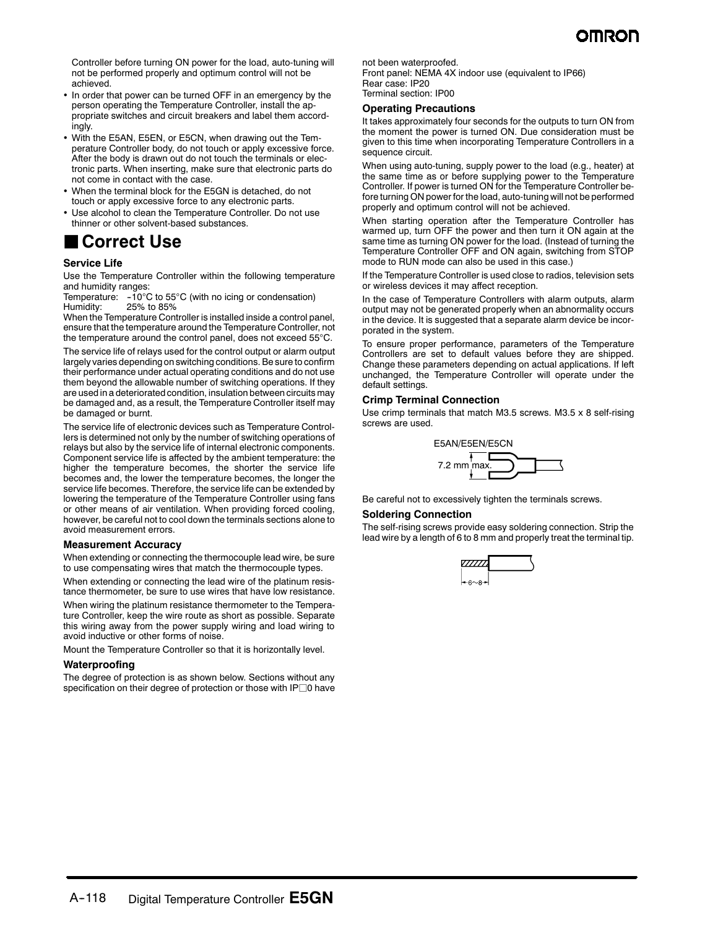Controller before turning ON power for the load, auto-tuning will not be performed properly and optimum control will not be achieved.

- In order that power can be turned OFF in an emergency by the person operating the Temperature Controller, install the appropriate switches and circuit breakers and label them accordingly.
- With the E5AN, E5EN, or E5CN, when drawing out the Temperature Controller body, do not touch or apply excessive force. After the body is drawn out do not touch the terminals or electronic parts. When inserting, make sure that electronic parts do not come in contact with the case.
- When the terminal block for the E5GN is detached, do not touch or apply excessive force to any electronic parts.
- Use alcohol to clean the Temperature Controller. Do not use thinner or other solvent-based substances.

#### ■ Correct Use

#### Service Life

Use the Temperature Controller within the following temperature and humidity ranges:

Temperature: -10°C to 55°C (with no icing or condensation)<br>Humidity: 25% to 85% 25% to 85%

When the Temperature Controller is installed inside a control panel, ensure that the temperature around the Temperature Controller, not the temperature around the control panel, does not exceed 55°C.

The service life of relays used for the control output or alarm output largely varies depending on switching conditions. Be sure to confirm their performance under actual operating conditions and do not use them beyond the allowable number of switching operations. If they are used in a deteriorated condition, insulation between circuits may be damaged and, as a result, the Temperature Controller itself may be damaged or burnt.

The service life of electronic devices such as Temperature Controllers is determined not only by the number of switching operations of relays but also by the service life of internal electronic components. Component service life is affected by the ambient temperature: the higher the temperature becomes, the shorter the service life becomes and, the lower the temperature becomes, the longer the service life becomes. Therefore, the service life can be extended by lowering the temperature of the Temperature Controller using fans or other means of air ventilation. When providing forced cooling, however, be careful not to cool down the terminals sections alone to avoid measurement errors.

#### Measurement Accuracy

When extending or connecting the thermocouple lead wire, be sure to use compensating wires that match the thermocouple types.

When extending or connecting the lead wire of the platinum resistance thermometer, be sure to use wires that have low resistance.

When wiring the platinum resistance thermometer to the Temperature Controller, keep the wire route as short as possible. Separate this wiring away from the power supply wiring and load wiring to avoid inductive or other forms of noise.

Mount the Temperature Controller so that it is horizontally level.

#### Waterproofing

The degree of protection is as shown below. Sections without any specification on their degree of protection or those with  $IP\Box 0$  have not been waterproofed. Front panel: NEMA 4X indoor use (equivalent to IP66) Rear case: IP20 Terminal section: IP00

#### Operating Precautions

It takes approximately four seconds for the outputs to turn ON from the moment the power is turned ON. Due consideration must be given to this time when incorporating Temperature Controllers in a sequence circuit.

When using auto-tuning, supply power to the load (e.g., heater) at the same time as or before supplying power to the Temperature Controller. If power is turned ON for the Temperature Controller before turning ON power for the load, auto-tuning will not be performed properly and optimum control will not be achieved.

When starting operation after the Temperature Controller has warmed up, turn OFF the power and then turn it ON again at the same time as turning ON power for the load. (Instead of turning the Temperature Controller OFF and ON again, switching from STOP mode to RUN mode can also be used in this case.)

If the Temperature Controller is used close to radios, television sets or wireless devices it may affect reception.

In the case of Temperature Controllers with alarm outputs, alarm output may not be generated properly when an abnormality occurs in the device. It is suggested that a separate alarm device be incorporated in the system.

To ensure proper performance, parameters of the Temperature Controllers are set to default values before they are shipped. Change these parameters depending on actual applications. If left unchanged, the Temperature Controller will operate under the default settings.

#### Crimp Terminal Connection

Use crimp terminals that match M3.5 screws. M3.5 x 8 self-rising screws are used.





Be careful not to excessively tighten the terminals screws.

#### Soldering Connection

The self-rising screws provide easy soldering connection. Strip the lead wire by a length of 6 to 8 mm and properly treat the terminal tip.

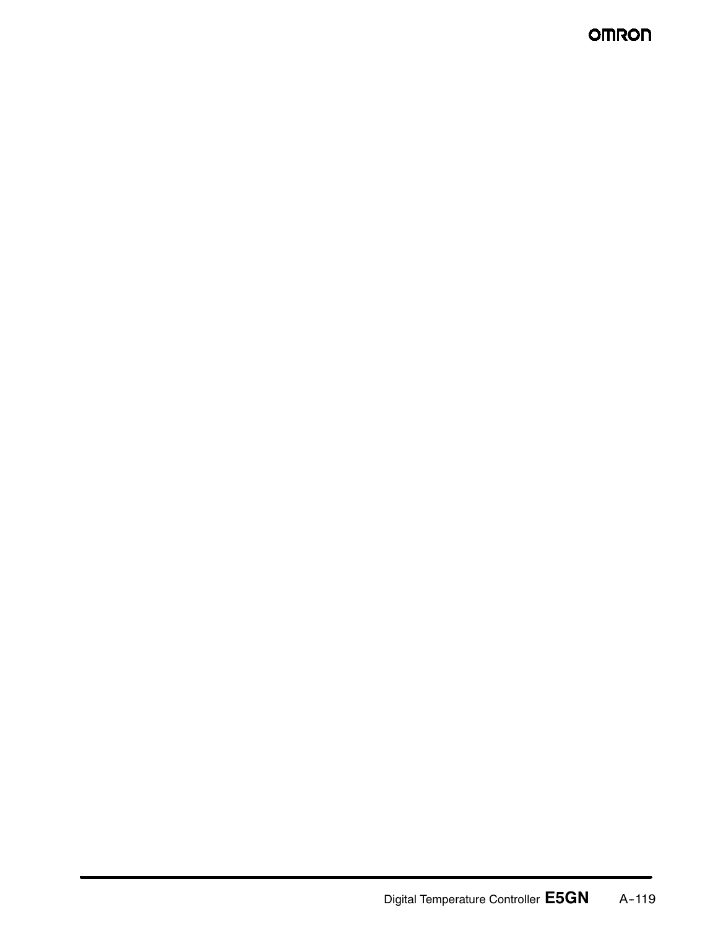#### **OMRON**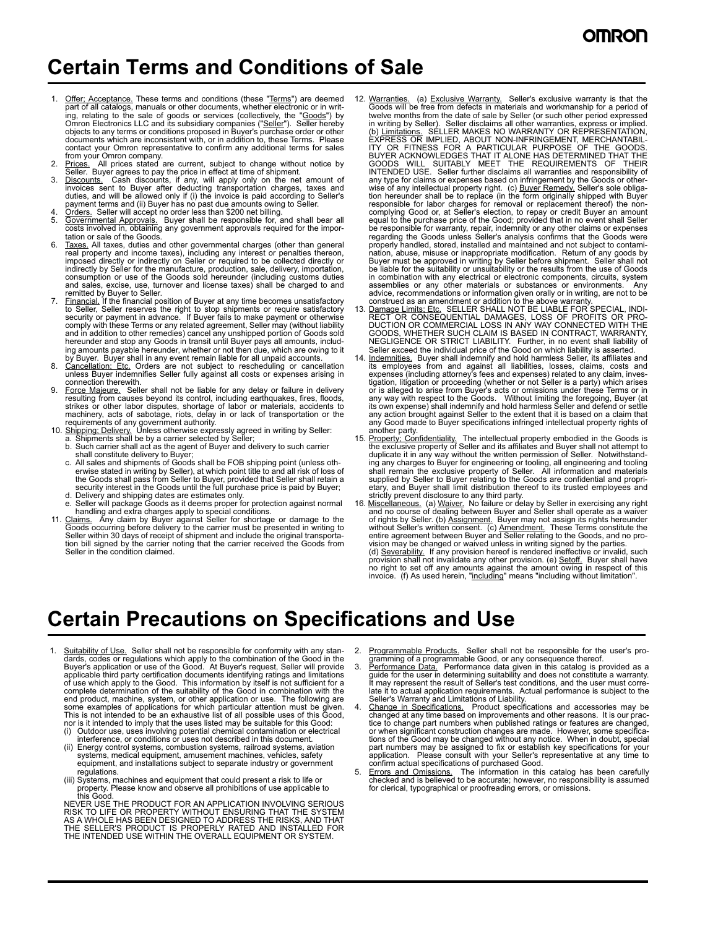### **Certain Terms and Conditions of Sale**

- Offer: Acceptance. These terms and conditions (these "Terms") are deemed  $1.$ part of all catalogs, manuals or other documents, whether electronic or in writing, relating to the sale of goods or services (collectively, the "Goods") by Omron Electronics LLC and its subsidiary companies ("Seller"). Seller hereby objects to any terms or conditions proposed in Buyer's purchase order or other documents which are inconsistent with, or in addition to, these Terms. Please contact your Omron representative to confirm any additional terms for sales from your Omron company
- 
- Frices. All prices stated are current, subject to change without notice by<br>Seller. Buyer agrees to pay the price in effect at time of shipment.<br>Discounts. Cash discounts, if any, will apply only on the net amount of<br>invoic  $\mathbf{3}$
- 
- Orders. Seller will accept no order less than \$200 net billing.<br>Governmental Approvals. Buyer shall be responsible for, and shall bear all 5 costs involved in, obtaining any government approvals required for the importation or sale of the Goods
- Taxes. All taxes, duties and other governmental charges (other than general 6. Takes, due to allow the discussed in the discussion of the discussed property and income taxes), including any interest or penalties thereon, imposed directly or indirectly on Seller or required to be collected directly or and sales, excise, use, turnover and license taxes) shall be charged to and
- and sales, excise, use, tumover and license taxes) shall be charged to and<br>
remitted by Buyer to Seller.<br>
Financial. If the financial position of Buyer at any time becomes unsatisfactory<br>
to Seller, Seller reserves the rig by Buyer. Buyer shall in any event remain liable for all unpaid accounts.
- Cancellation: Etc. Orders are not subject to rescheduling or cancellation<br>unless Buyer indemnifies Seller fully against all costs or expenses arising in <sub>R</sub> connection therewith.
- Force Majeure. Seller shall not be liable for any delay or failure in delivery 9. resulting from causes beyond its control, including earthquakes, fires, floods, strikes or other labor disputes, shortage of labor or materials, accidents to machinery, acts of sabotage, riots, delay in or lack of transportation or the
- requirements of any government authority.<br>
10. Shipping: Delivery. Unless otherwise expressly agreed in writing by Seller:<br>
a. Shipments shall be by a carrier selected by Seller:
	- b. Such carrier shall act as the agent of Buyer and delivery to such carrier shall constitute delivery to Buyer;
	- State and shipments of Goods shall be FOB shipping point (unless otherwise stated in writing by Seller), at which point title to and all risk of loss of the Goods shall pass from Seller to Buyer, provided that Seller shall c.
	- security interest in the Goods until the full purchase price is paid by Buyer;<br>d. Delivery and shipping dates are estimates only.<br>e. Seller will package Goods as it deems proper for protection against normal<br>handling and e
- Goods occurring before delivery to the carrier must be presented in writing to Seller within 30 days of receipt of shipment and include the original transportation bill signed by the carrier noting that the carrier received the Goods from<br>Seller in the condition claimed.
- 12. Warranties. (a) Exclusive Warranty. Seller's exclusive warranty is that the Goods will be free from defects in materials and workmanship for a period of twelve months from the date of sale by Seller (or such other period expressed twelve months from the date of sale by Seller (or such other period expressed<br>in writing by Seller.) Seller disclaims all other warranties, express or implied.<br>
(b) Limitations. SELLER MAKES NO WARRANTY OR REPRESENTATION,<br> wise of any intellectual property right. (c) Buyer Remedy. Seller's sole obliga-<br>tion hereunder shall be to replace (in the form originally shipped with Buyer<br>responsible for labor charges for removal or replacement thereo responsible for table charges for removal or replacement thereor) the non-<br>complying Good or, at Seller's election, to repay or credit Buyer an amount<br>equal to the purchase price of the Good; provided that in no event shal properly natured, solved, installed and maintained and increased and increased and increased in writing by Seller before shipment. Seller shall not be liable for the suitability or unsuitability or the seller shall not in
- assemblies or any other materials or substances or environments. Any<br>advice, recommendations or information given orally or in writing, are not to be<br>construed as an amendment or addition to the above warranty.<br>Damage Limi
- $14$ Indemnities. Buyer shall indemnify and hold harmless Seller, its affiliates and its employees from and against all liabilities, losses, claims, costs and<br>expenses (including attorney's fees and expenses) related to any claim, invesexperience it<br>digition, it in the conduct of proceeding (whether or not Seller is a party) which arises<br>or is alleged to arise from Buyer's acts or omissions under these Terms or in<br>any way with respect to the Goods. Witho any Good made to Buyer specifications infringed intellectual property rights of another party.
- Property: Confidentiality. The intellectual property embodied in the Goods is<br>the exclusive property of Seller and its affiliates and Buyer shall not attempt to<br>duplicate it in any way without the written permission of Sel 15. dignative transition of the main the exclusive property of Seller. All information and tooling<br>shall remain the exclusive property of Seller. All information and materials<br>supplied by Seller to Buyer relating to the Goods
- etary, and Buyer shall limit distribution thereof to its trusted employees and<br>trictly prevent disclosure to any third party.<br>16. Miscellaneous. (a) Waiver. No failure or delay by Seller in exercising any right<br>16. Miscell or rights by Seiler. (b) Assignment. Colometric These Terms constitute the<br>without Seller's written consent. (c) Amendment. These Terms constitute the<br>entire agreement between Buyer and Seller relating to the Goods, and no no right to set off any amounts against the amount owing in respect of this invoice. (f) As used herein, "including" means "including without limitation".

## **Certain Precautions on Specifications and Use**

- Suitability of Use. Seller shall not be responsible for conformity with any stan- $1<sub>1</sub>$ Suitablility of Use. Seller shall not be responsible for conformity with any standard data's, codes or regulations which apply to the combination of the Good in the Buyer's application or use of the Good. At Buyer's reques some examples of applications for which particular attention must be given.<br>This is not intended to be an exhaustive list of all possible uses of this Good,
	- Final is the therefore to be an explanative listed may be suitable for this Good:<br>(i) Outdoor use, uses involving potential chemical contamination or electrical<br>interference, or conditions or uses not described in this doc
	- (ii) Energy control systems, combustion systems, railroad systems, aviation<br>systems, medical equipment, amusement machines, vehicles, safety<br>equipment, and installations subject to separate industry or government requiations.
	- (iii) Systems, machines and equipment that could present a risk to life or<br>property. Please know and observe all prohibitions of use applicable to<br>this Good.

UNE VOID THE PRODUCT FOR AN APPLICATION INVOLVING SERIOUS<br>RISK TO LIFE OR PROPERTY WITHOUT ENSURING THAT THE SYSTEM<br>AS A WHOLE HAS BEEN DESIGNED TO ADDRESS THE RISKS, AND THAT<br>THE SELLER'S PRODUCT IS PROPERLY RATED AND INS

- Programmable Products. Seller shall not be responsible for the user's pro-
- **Example of a programmation** Products. Seller shall not be responsible for the user's pro-<br>gramming of a programmable Good, or any consequence thereof.<br>Performance Data. Performance data given in this catalog is provided a 3
- Seller's Warranty and Limitations of Liability.<br>Change in Specifications. Product specifications and accessories may be changed at any time based on improvements and other reasons. It is our prac- $\overline{4}$ changed at any time based on improvements and other reasons. It is our practice to change part numbers when published ratings or features are changed, or when significant construction changes are made. However, some specif
- 5 for clerical, typographical or proofreading errors, or omissions.